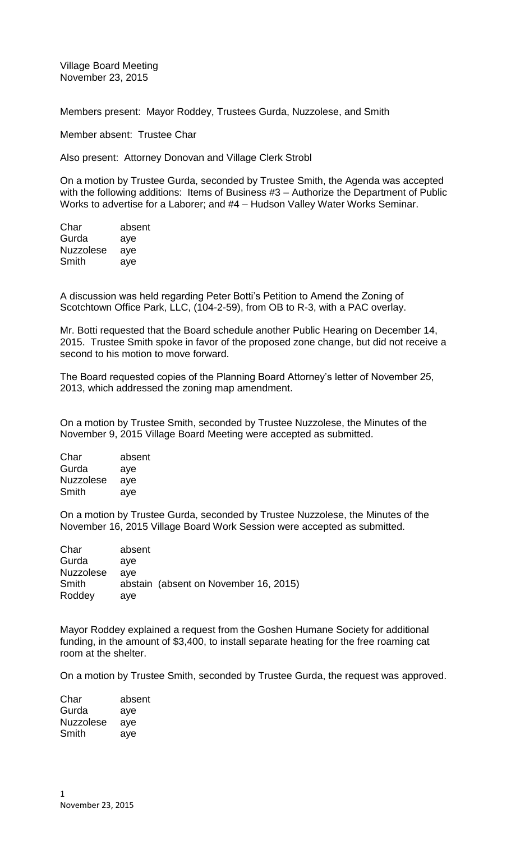Village Board Meeting November 23, 2015

Members present: Mayor Roddey, Trustees Gurda, Nuzzolese, and Smith

Member absent: Trustee Char

Also present: Attorney Donovan and Village Clerk Strobl

On a motion by Trustee Gurda, seconded by Trustee Smith, the Agenda was accepted with the following additions: Items of Business #3 – Authorize the Department of Public Works to advertise for a Laborer; and #4 – Hudson Valley Water Works Seminar.

| Char             | absent |
|------------------|--------|
| Gurda            | aye    |
| <b>Nuzzolese</b> | aye    |
| Smith            | aye    |
|                  |        |

A discussion was held regarding Peter Botti's Petition to Amend the Zoning of Scotchtown Office Park, LLC, (104-2-59), from OB to R-3, with a PAC overlay.

Mr. Botti requested that the Board schedule another Public Hearing on December 14, 2015. Trustee Smith spoke in favor of the proposed zone change, but did not receive a second to his motion to move forward.

The Board requested copies of the Planning Board Attorney's letter of November 25, 2013, which addressed the zoning map amendment.

On a motion by Trustee Smith, seconded by Trustee Nuzzolese, the Minutes of the November 9, 2015 Village Board Meeting were accepted as submitted.

| absent |
|--------|
| aye    |
| aye    |
| aye    |
|        |

On a motion by Trustee Gurda, seconded by Trustee Nuzzolese, the Minutes of the November 16, 2015 Village Board Work Session were accepted as submitted.

| Char             | absent |                                       |  |
|------------------|--------|---------------------------------------|--|
| Gurda            | ave    |                                       |  |
| <b>Nuzzolese</b> | ave    |                                       |  |
| Smith            |        | abstain (absent on November 16, 2015) |  |
| Roddey           | ave    |                                       |  |

Mayor Roddey explained a request from the Goshen Humane Society for additional funding, in the amount of \$3,400, to install separate heating for the free roaming cat room at the shelter.

On a motion by Trustee Smith, seconded by Trustee Gurda, the request was approved.

| Char             | absent |
|------------------|--------|
| Gurda            | aye    |
| <b>Nuzzolese</b> | aye    |
| Smith            | aye    |